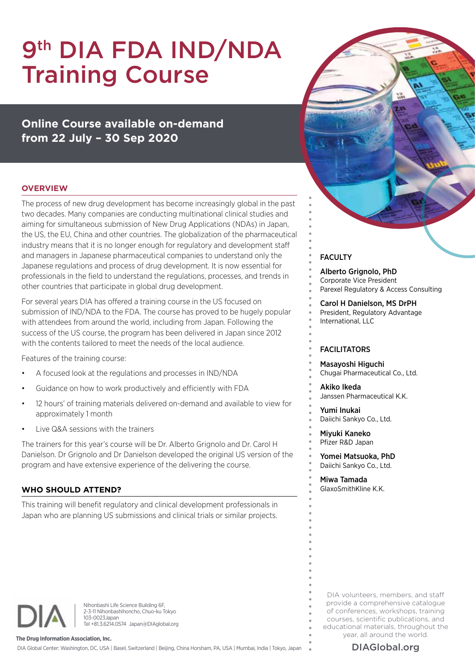# 9th DIA FDA IND/NDA Training Course

**Online Course available on-demand from 22 July – 30 Sep 2020**

#### **OVERVIEW**

The process of new drug development has become increasingly global in the past two decades. Many companies are conducting multinational clinical studies and aiming for simultaneous submission of New Drug Applications (NDAs) in Japan, the US, the EU, China and other countries. The globalization of the pharmaceutical industry means that it is no longer enough for regulatory and development staff and managers in Japanese pharmaceutical companies to understand only the Japanese regulations and process of drug development. It is now essential for professionals in the field to understand the regulations, processes, and trends in other countries that participate in global drug development.

For several years DIA has offered a training course in the US focused on submission of IND/NDA to the FDA. The course has proved to be hugely popular with attendees from around the world, including from Japan. Following the success of the US course, the program has been delivered in Japan since 2012 with the contents tailored to meet the needs of the local audience.

Features of the training course:

- A focused look at the regulations and processes in IND/NDA
- Guidance on how to work productively and efficiently with FDA
- 12 hours' of training materials delivered on-demand and available to view for approximately 1 month
- Live Q&A sessions with the trainers

The trainers for this year's course will be Dr. Alberto Grignolo and Dr. Carol H Danielson. Dr Grignolo and Dr Danielson developed the original US version of the program and have extensive experience of the delivering the course.

### **WHO SHOULD ATTEND?**

This training will benefit regulatory and clinical development professionals in Japan who are planning US submissions and clinical trials or similar projects.



Nihonbashi Life Science Building 6F, 2-3-11 Nihonbashihoncho, Chuo-ku Tokyo 103-0023Japan Tel +81.3.6214.0574 Japan@DIAglobal.org

**The Drug Information Association, Inc.** DIA Global Center: Washington, DC, USA | Basel, Switzerland | Beijing, China Horsham, PA, USA | Mumbai, India | Tokyo, Japan



### **FACULTY**

Alberto Grignolo, PhD Corporate Vice President Parexel Regulatory & Access Consulting

Carol H Danielson, MS DrPH President, Regulatory Advantage International, LLC

#### FACILITATORS

Masayoshi Higuchi Chugai Pharmaceutical Co., Ltd.

Akiko Ikeda Janssen Pharmaceutical K.K.

Yumi Inukai Daiichi Sankyo Co., Ltd.

Miyuki Kaneko Pfizer R&D Japan

Yomei Matsuoka, PhD Daiichi Sankyo Co., Ltd.

Miwa Tamada GlaxoSmithKline K.K.

DIA volunteers, members, and staff provide a comprehensive catalogue of conferences, workshops, training courses, scientific publications, and educational materials, throughout the year, all around the world.

DIAGlobal.org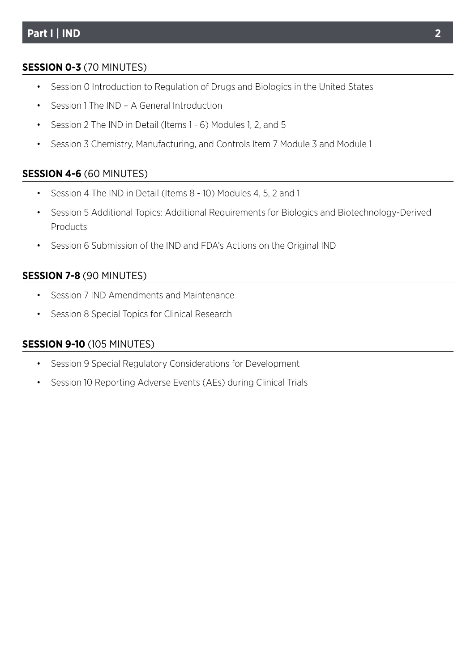# **Part I | IND**

### **SESSION 0-3** (70 MINUTES)

- Session 0 Introduction to Regulation of Drugs and Biologics in the United States
- Session 1 The IND A General Introduction
- Session 2 The IND in Detail (Items 1 6) Modules 1, 2, and 5
- Session 3 Chemistry, Manufacturing, and Controls Item 7 Module 3 and Module 1

### **SESSION 4-6** (60 MINUTES)

- Session 4 The IND in Detail (Items 8 10) Modules 4, 5, 2 and 1
- Session 5 Additional Topics: Additional Requirements for Biologics and Biotechnology-Derived Products
- Session 6 Submission of the IND and FDA's Actions on the Original IND

### **SESSION 7-8** (90 MINUTES)

- Session 7 IND Amendments and Maintenance
- Session 8 Special Topics for Clinical Research

### **SESSION 9-10** (105 MINUTES)

- Session 9 Special Regulatory Considerations for Development
- Session 10 Reporting Adverse Events (AEs) during Clinical Trials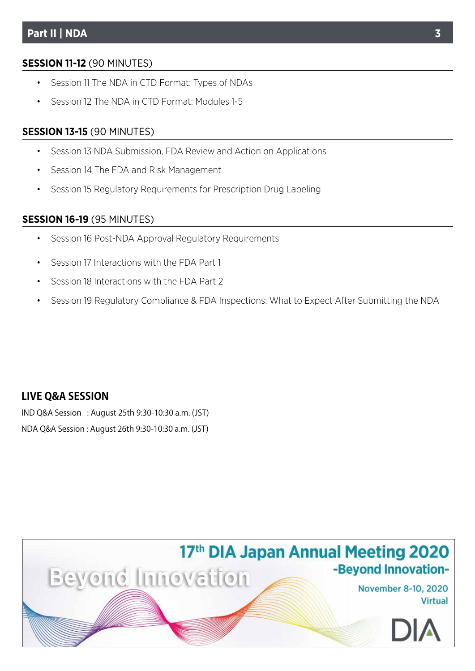# **SESSION 11-12** (90 MINUTES)

- Session 11 The NDA in CTD Format: Types of NDAs
- Session 12 The NDA in CTD Format: Modules 1-5

# **SESSION 13-15** (90 MINUTES)

- Session 13 NDA Submission, FDA Review and Action on Applications
- Session 14 The FDA and Risk Management
- Session 15 Regulatory Requirements for Prescription Drug Labeling

# **SESSION 16-19** (95 MINUTES)

- Session 16 Post-NDA Approval Regulatory Requirements
- Session 17 Interactions with the FDA Part 1
- Session 18 Interactions with the FDA Part 2
- Session 19 Regulatory Compliance & FDA Inspections: What to Expect After Submitting the NDA

# **LIVE Q&A SESSION**

IND Q&A Session : August 25th 9:30-10:30 a.m. (JST) NDA Q&A Session : August 26th 9:30-10:30 a.m. (JST)

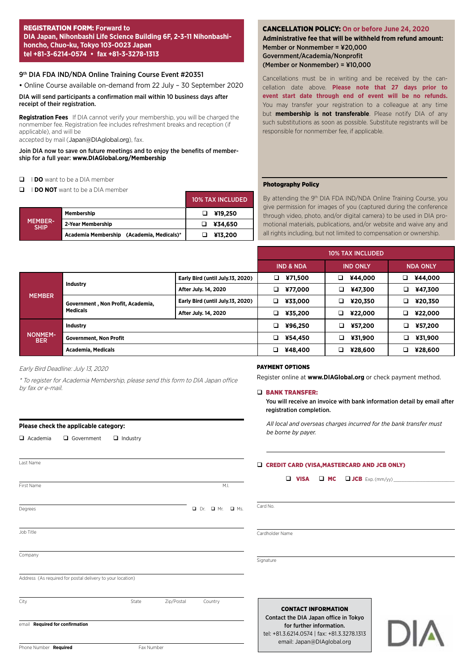#### REGISTRATION FORM: **Forward to DIA Japan, Nihonbashi Life Science Building 6F, 2-3-11 Nihonbashihoncho, Chuo-ku, Tokyo 103-0023 Japan tel +81-3-6214-0574 • fax +81-3-3278-1313**

#### 9<sup>th</sup> DIA FDA IND/NDA Online Training Course Event #20351

• Online Course available on-demand from 22 July – 30 September 2020

DIA will send participants a confirmation mail within 10 business days after receipt of their registration.

**Registration Fees** If DIA cannot verify your membership, you will be charged the nonmember fee. Registration fee includes refreshment breaks and reception (if applicable), and will be

accepted by mail (Japan@DIAglobal.org), fax.

Join DIA now to save on future meetings and to enjoy the benefits of membership for a full year: **www.DIAGlobal.org/Membership**

- **Q I DO** want to be a DIA member
- **Q I DO NOT** want to be a DIA member

|                               |                                           | <b>10% TAX INCLUDED</b> |
|-------------------------------|-------------------------------------------|-------------------------|
| <b>MEMBER-</b><br><b>SHIP</b> | Membership                                | ¥19.250                 |
|                               | 2-Year Membership                         | ¥34.650                 |
|                               | Academia Membership (Academia, Medicals)* | ¥13.200                 |

#### CANCELLATION POLICY: **On or before June 24, 2020**

**Administrative fee that will be withheld from refund amount:**  Member or Nonmember = ¥20,000 Government/Academia/Nonprofit (Member or Nonmember) = ¥10,000

Cancellations must be in writing and be received by the cancellation date above. **Please note that 27 days prior to event start date through end of event will be no refunds.** You may transfer your registration to a colleague at any time but **membership is not transferable**. Please notify DIA of any such substitutions as soon as possible. Substitute registrants will be responsible for nonmember fee, if applicable.

#### Photography Policy

By attending the 9<sup>th</sup> DIA FDA IND/NDA Online Training Course, you give permission for images of you (captured during the conference through video, photo, and/or digital camera) to be used in DIA promotional materials, publications, and/or website and waive any and all rights including, but not limited to compensation or ownership.

|                                                                                            |                                   | <b>10% TAX INCLUDED</b>          |         |                      |         |          |         |                 |
|--------------------------------------------------------------------------------------------|-----------------------------------|----------------------------------|---------|----------------------|---------|----------|---------|-----------------|
|                                                                                            |                                   |                                  |         | <b>IND &amp; NDA</b> |         | IND ONLY |         | <b>NDA ONLY</b> |
|                                                                                            |                                   | Early Bird (until July.13, 2020) | ❏       | ¥71,500              | ❏       | ¥44,000  | □       | ¥44,000         |
|                                                                                            | <b>Industry</b>                   | After July. 14, 2020             | ❏       | ¥77,000              | ❏       | ¥47,300  | ❏       | ¥47,300         |
| <b>MEMBER</b>                                                                              | Government, Non Profit, Academia, | Early Bird (until July.13, 2020) | a       | ¥33,000              | □       | ¥20,350  | a       | ¥20,350         |
|                                                                                            | Medicals                          | After July. 14, 2020             | ❏       | ¥35,200              | ❏       | ¥22,000  | ❏       | ¥22,000         |
| Industry                                                                                   |                                   | □                                | ¥96,250 | ❏                    | ¥57,200 | Q        | ¥57,200 |                 |
| <b>NONMEM-</b><br><b>Government, Non Profit</b><br><b>BER</b><br><b>Academia, Medicals</b> |                                   |                                  | ◻       | ¥54,450              | ❏       | ¥31.900  | Q       | ¥31,900         |
|                                                                                            |                                   |                                  | ¥48,400 |                      | ¥28,600 |          | ¥28,600 |                 |

Early Bird Deadline: July 13, 2020

\* To register for Academia Membership, please send this form to DIA Japan office by fax or e-mail.

|            | Please check the applicable category:                      |       |            |               |
|------------|------------------------------------------------------------|-------|------------|---------------|
|            | $\Box$ Academia $\Box$ Government $\Box$ Industry          |       |            |               |
|            |                                                            |       |            |               |
| Last Name  |                                                            |       |            |               |
| First Name |                                                            |       |            |               |
| Degrees    |                                                            |       |            | $D$ Dr. $D$ N |
| Job Title  |                                                            |       |            |               |
| Company    |                                                            |       |            |               |
|            | Address (As required for postal delivery to your location) |       |            |               |
| City       |                                                            | State | Zip/Postal | Country       |

PAYMENT OPTIONS

Register online at **www.DIAGlobal.org** or check payment method.

#### D BANK TRANSFER:

You will receive an invoice with bank information detail by email after registration completion.

*All local and overseas charges incurred for the bank transfer must be borne by payer.*

| Last Name                                                  |                     |                                  | <b>Q CREDIT CARD (VISA, MASTERCARD AND JCB ONLY)</b>                                                                                                 |
|------------------------------------------------------------|---------------------|----------------------------------|------------------------------------------------------------------------------------------------------------------------------------------------------|
|                                                            |                     |                                  | $\Box$ VISA<br>$\Box$ MC $\Box$ JCB Exp. (mm/yy)                                                                                                     |
| First Name                                                 |                     | M.L                              |                                                                                                                                                      |
| Degrees                                                    |                     | $\Box$ Dr. $\Box$ Mr. $\Box$ Ms. | Card No.                                                                                                                                             |
| Job Title                                                  |                     |                                  | Cardholder Name                                                                                                                                      |
| Company                                                    |                     |                                  | Signature                                                                                                                                            |
| Address (As required for postal delivery to your location) |                     |                                  |                                                                                                                                                      |
| City                                                       | Zip/Postal<br>State | Country                          | <b>CONTACT INFORMATION</b>                                                                                                                           |
| email Required for confirmation                            |                     |                                  | Contact the DIA Japan office in Tokyo<br>for further information.<br>DL<br>tel: +81.3.6214.0574   fax: +81.3.3278.1313<br>email: Japan@DIAglobal.org |
| Phone Number Required                                      | Fax Number          |                                  |                                                                                                                                                      |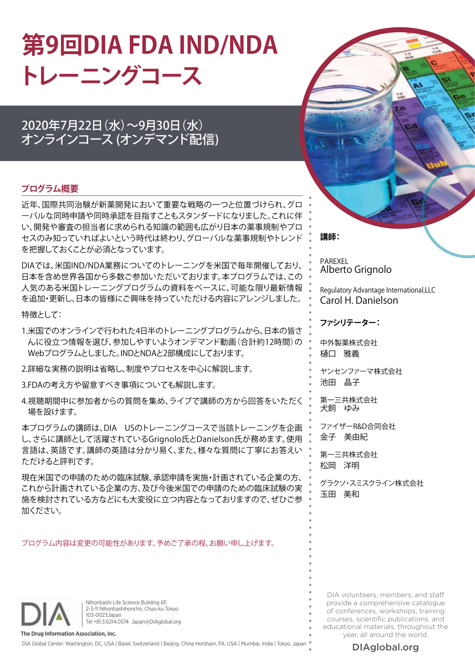# **第9回DIA FDA IND/NDA トレーニングコース**

# 2020年7月22日(水)~9月30日(水) オンラインコース (オンデマンド配信)

### **プログラム概要**

近年、国際共同治験が新薬開発において重要な戦略の一つと位置づけられ、グロ ーバルな同時申請や同時承認を目指すこともスタンダードになりました。これに伴 い、開発や審査の担当者に求められる知識の範囲も広がり日本の薬事規制やプロ セスのみ知っていればよいという時代は終わり、グローバルな薬事規制やトレンド を把握しておくことが必須となっています。

DIAでは、米国IND/NDA業務についてのトレーニングを米国で毎年開催しており、 日本を含め世界各国から多数ご参加いただいております。本プログラムでは、この 人気のある米国トレーニングプログラムの資料をベースに、可能な限り最新情報 を追加・更新し、日本の皆様にご興味を持っていただける内容にアレンジしました。

特徴として:

- 1.米国でのオンラインで行われた4日半のトレーニングプログラムから、日本の皆さ んに役立つ情報を選び、参加しやすいようオンデマンド動画(合計約12時間)の Webプログラムとしました。INDとNDAと2部構成にしております。
- 2.詳細な実務の説明は省略し、制度やプロセスを中心に解説します。
- 3.FDAの考え方や留意すべき事項についても解説します。
- 4.視聴期間中に参加者からの質問を集め、ライブで講師の方から回答をいただく 場を設けます。

本プログラムの講師は、DIA USのトレーニングコースで当該トレーニングを企画 し、さらに講師として活躍されているGrignolo氏とDanielson氏が務めます。使用 言語は、英語です。講師の英語は分かり易く、また、様々な質問に丁寧にお答えい ただけると評判です。

現在米国での申請のための臨床試験、承認申請を実施・計画されている企業の方、 これから計画されている企業の方、及び今後米国での申請のための臨床試験の実 施を検討されている方などにも大変役に立つ内容となっておりますので、ぜひご参 加ください。

プログラム内容は変更の可能性があります。予めご了承の程、お願い申し上げます。



Nihonbashi Life Science Building 6F, 2-3-11 Nihonbashihoncho, Chuo-ku Tokyo 103-0023Japan Tel +81.3.6214.0574 Japan@DIAglobal.org

**The Drug Information Association, Inc.** DIA Global Center: Washington, DC, USA | Basel, Switzerland | Beijing, China Horsham, PA, USA | Mumbai, India | Tokyo, Japan **講師:**

PAREXEL Alberto Grignolo

Regulatory Advantage International,LLC Carol H. Danielson

**ファシリテーター:**

中外製薬株式会社 樋口 雅義

ヤンセンファーマ株式会社 池田 晶子

第一三共株式会社 犬飼 ゆみ

ファイザーR&D合同会社 金子 美由紀

第一三共株式会社 松岡 洋明

グラクソ・スミスクライン株式会社 玉田 美和

DIA volunteers, members, and staff provide a comprehensive catalogue of conferences, workshops, training courses, scientific publications, and educational materials, throughout the year, all around the world.

DIAglobal.org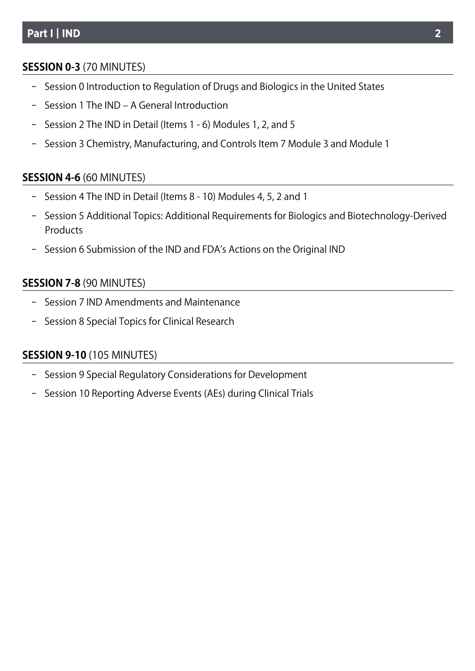# **Part I | IND**

### **SESSION 0-3** (70 MINUTES)

- − Session 0 Introduction to Regulation of Drugs and Biologics in the United States
- − Session 1 The IND A General Introduction
- − Session 2 The IND in Detail (Items 1 6) Modules 1, 2, and 5
- − Session 3 Chemistry, Manufacturing, and Controls Item 7 Module 3 and Module 1

### **SESSION 4-6** (60 MINUTES)

- − Session 4 The IND in Detail (Items 8 10) Modules 4, 5, 2 and 1
- − Session 5 Additional Topics: Additional Requirements for Biologics and Biotechnology-Derived Products
- − Session 6 Submission of the IND and FDA's Actions on the Original IND

## **SESSION 7-8** (90 MINUTES)

- − Session 7 IND Amendments and Maintenance
- − Session 8 Special Topics for Clinical Research

### **SESSION 9-10** (105 MINUTES)

- − Session 9 Special Regulatory Considerations for Development
- − Session 10 Reporting Adverse Events (AEs) during Clinical Trials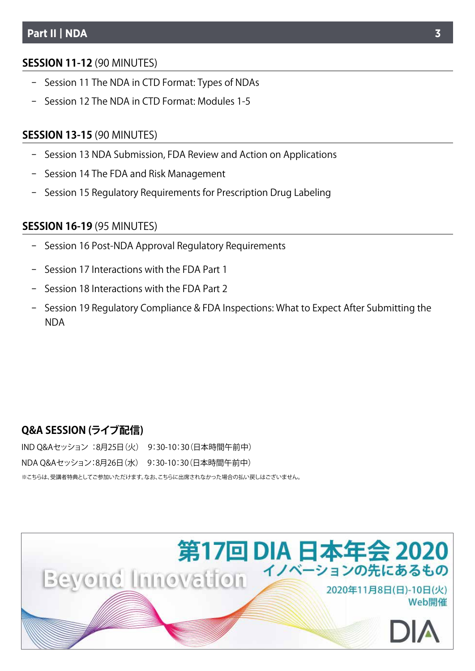# **Part II | NDA**

### **SESSION 11-12** (90 MINUTES)

- − Session 11 The NDA in CTD Format: Types of NDAs
- − Session 12 The NDA in CTD Format: Modules 1-5

# **SESSION 13-15** (90 MINUTES)

- − Session 13 NDA Submission, FDA Review and Action on Applications
- − Session 14 The FDA and Risk Management
- − Session 15 Regulatory Requirements for Prescription Drug Labeling

## **SESSION 16-19** (95 MINUTES)

- − Session 16 Post-NDA Approval Regulatory Requirements
- − Session 17 Interactions with the FDA Part 1
- − Session 18 Interactions with the FDA Part 2
- − Session 19 Regulatory Compliance & FDA Inspections: What to Expect After Submitting the **NDA**

# **Q&A SESSION (ライブ配信)**

IND Q&Aセッション :8月25日(火) 9:30-10:30(日本時間午前中) NDA Q&Aセッション:8月26日(水) 9:30-10:30(日本時間午前中) ※こちらは、受講者特典としてご参加いただけます。なお、こちらに出席されなかった場合の払い戻しはございません。